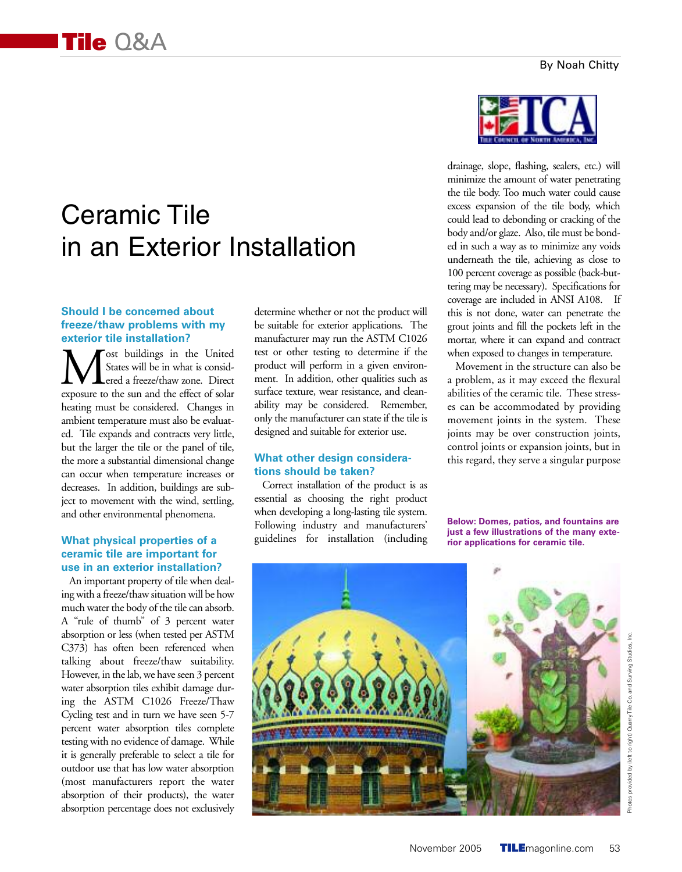# Ceramic Tile in an Exterior Installation

#### **Should I be concerned about freeze/thaw problems with my exterior tile installation?**

**M** States will be in what is considered a freeze/thaw zone. Direct exposure to the sun and the effect of solar States will be in what is consid-Lered a freeze/thaw zone. Direct heating must be considered. Changes in ambient temperature must also be evaluated. Tile expands and contracts very little, but the larger the tile or the panel of tile, the more a substantial dimensional change can occur when temperature increases or decreases. In addition, buildings are subject to movement with the wind, settling, and other environmental phenomena.

## **What physical properties of a ceramic tile are important for use in an exterior installation?**

An important property of tile when dealing with a freeze/thaw situation will be how much water the body of the tile can absorb. A "rule of thumb" of 3 percent water absorption or less (when tested per ASTM C373) has often been referenced when talking about freeze/thaw suitability. However, in the lab, we have seen 3 percent water absorption tiles exhibit damage during the ASTM C1026 Freeze/Thaw Cycling test and in turn we have seen 5-7 percent water absorption tiles complete testing with no evidence of damage. While it is generally preferable to select a tile for outdoor use that has low water absorption (most manufacturers report the water absorption of their products), the water absorption percentage does not exclusively determine whether or not the product will be suitable for exterior applications. The manufacturer may run the ASTM C1026 test or other testing to determine if the product will perform in a given environment. In addition, other qualities such as surface texture, wear resistance, and cleanability may be considered. Remember, only the manufacturer can state if the tile is designed and suitable for exterior use.

### **What other design considerations should be taken?**

Correct installation of the product is as essential as choosing the right product when developing a long-lasting tile system. Following industry and manufacturers' guidelines for installation (including



drainage, slope, flashing, sealers, etc.) will minimize the amount of water penetrating the tile body. Too much water could cause excess expansion of the tile body, which could lead to debonding or cracking of the body and/or glaze. Also, tile must be bonded in such a way as to minimize any voids underneath the tile, achieving as close to 100 percent coverage as possible (back-buttering may be necessary). Specifications for coverage are included in ANSI A108. If this is not done, water can penetrate the grout joints and fill the pockets left in the mortar, where it can expand and contract when exposed to changes in temperature.

Movement in the structure can also be a problem, as it may exceed the flexural abilities of the ceramic tile. These stresses can be accommodated by providing movement joints in the system. These joints may be over construction joints, control joints or expansion joints, but in this regard, they serve a singular purpose

**Below: Domes, patios, and fountains are just a few illustrations of the many exterior applications for ceramic tile.**